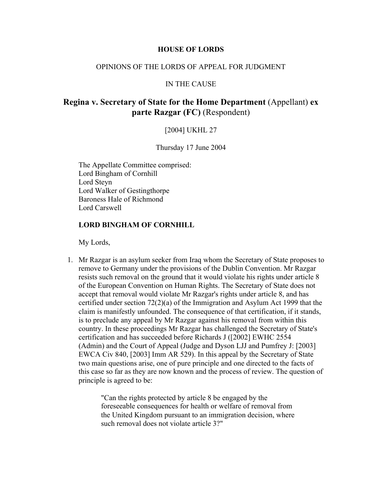## **HOUSE OF LORDS**

# OPINIONS OF THE LORDS OF APPEAL FOR JUDGMENT

#### IN THE CAUSE

# **Regina v. Secretary of State for the Home Department** (Appellant) **ex parte Razgar (FC)** (Respondent)

## [2004] UKHL 27

#### Thursday 17 June 2004

The Appellate Committee comprised: Lord Bingham of Cornhill Lord Steyn Lord Walker of Gestingthorpe Baroness Hale of Richmond Lord Carswell

#### **LORD BINGHAM OF CORNHILL**

My Lords,

1. Mr Razgar is an asylum seeker from Iraq whom the Secretary of State proposes to remove to Germany under the provisions of the Dublin Convention. Mr Razgar resists such removal on the ground that it would violate his rights under article 8 of the European Convention on Human Rights. The Secretary of State does not accept that removal would violate Mr Razgar's rights under article 8, and has certified under section 72(2)(a) of the Immigration and Asylum Act 1999 that the claim is manifestly unfounded. The consequence of that certification, if it stands, is to preclude any appeal by Mr Razgar against his removal from within this country. In these proceedings Mr Razgar has challenged the Secretary of State's certification and has succeeded before Richards J ([2002] EWHC 2554 (Admin) and the Court of Appeal (Judge and Dyson LJJ and Pumfrey J: [2003] EWCA Civ 840, [2003] Imm AR 529). In this appeal by the Secretary of State two main questions arise, one of pure principle and one directed to the facts of this case so far as they are now known and the process of review. The question of principle is agreed to be:

> "Can the rights protected by article 8 be engaged by the foreseeable consequences for health or welfare of removal from the United Kingdom pursuant to an immigration decision, where such removal does not violate article 3?"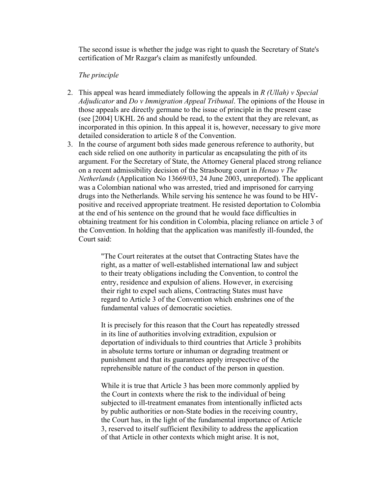The second issue is whether the judge was right to quash the Secretary of State's certification of Mr Razgar's claim as manifestly unfounded.

## *The principle*

- 2. This appeal was heard immediately following the appeals in *R (Ullah) v Special Adjudicator* and *Do v Immigration Appeal Tribunal*. The opinions of the House in those appeals are directly germane to the issue of principle in the present case (see [2004] UKHL 26 and should be read, to the extent that they are relevant, as incorporated in this opinion. In this appeal it is, however, necessary to give more detailed consideration to article 8 of the Convention.
- 3. In the course of argument both sides made generous reference to authority, but each side relied on one authority in particular as encapsulating the pith of its argument. For the Secretary of State, the Attorney General placed strong reliance on a recent admissibility decision of the Strasbourg court in *Henao v The Netherlands* (Application No 13669/03, 24 June 2003, unreported). The applicant was a Colombian national who was arrested, tried and imprisoned for carrying drugs into the Netherlands. While serving his sentence he was found to be HIVpositive and received appropriate treatment. He resisted deportation to Colombia at the end of his sentence on the ground that he would face difficulties in obtaining treatment for his condition in Colombia, placing reliance on article 3 of the Convention. In holding that the application was manifestly ill-founded, the Court said:

"The Court reiterates at the outset that Contracting States have the right, as a matter of well-established international law and subject to their treaty obligations including the Convention, to control the entry, residence and expulsion of aliens. However, in exercising their right to expel such aliens, Contracting States must have regard to Article 3 of the Convention which enshrines one of the fundamental values of democratic societies.

It is precisely for this reason that the Court has repeatedly stressed in its line of authorities involving extradition, expulsion or deportation of individuals to third countries that Article 3 prohibits in absolute terms torture or inhuman or degrading treatment or punishment and that its guarantees apply irrespective of the reprehensible nature of the conduct of the person in question.

While it is true that Article 3 has been more commonly applied by the Court in contexts where the risk to the individual of being subjected to ill-treatment emanates from intentionally inflicted acts by public authorities or non-State bodies in the receiving country, the Court has, in the light of the fundamental importance of Article 3, reserved to itself sufficient flexibility to address the application of that Article in other contexts which might arise. It is not,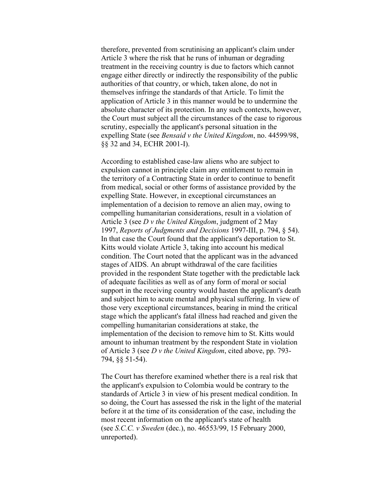therefore, prevented from scrutinising an applicant's claim under Article 3 where the risk that he runs of inhuman or degrading treatment in the receiving country is due to factors which cannot engage either directly or indirectly the responsibility of the public authorities of that country, or which, taken alone, do not in themselves infringe the standards of that Article. To limit the application of Article 3 in this manner would be to undermine the absolute character of its protection. In any such contexts, however, the Court must subject all the circumstances of the case to rigorous scrutiny, especially the applicant's personal situation in the expelling State (see *Bensaid v the United Kingdom*, no. 44599/98, §§ 32 and 34, ECHR 2001-I).

According to established case-law aliens who are subject to expulsion cannot in principle claim any entitlement to remain in the territory of a Contracting State in order to continue to benefit from medical, social or other forms of assistance provided by the expelling State. However, in exceptional circumstances an implementation of a decision to remove an alien may, owing to compelling humanitarian considerations, result in a violation of Article 3 (see *D v the United Kingdom*, judgment of 2 May 1997, *Reports of Judgments and Decisions* 1997-III, p. 794, § 54). In that case the Court found that the applicant's deportation to St. Kitts would violate Article 3, taking into account his medical condition. The Court noted that the applicant was in the advanced stages of AIDS. An abrupt withdrawal of the care facilities provided in the respondent State together with the predictable lack of adequate facilities as well as of any form of moral or social support in the receiving country would hasten the applicant's death and subject him to acute mental and physical suffering. In view of those very exceptional circumstances, bearing in mind the critical stage which the applicant's fatal illness had reached and given the compelling humanitarian considerations at stake, the implementation of the decision to remove him to St. Kitts would amount to inhuman treatment by the respondent State in violation of Article 3 (see *D v the United Kingdom*, cited above, pp. 793- 794, §§ 51-54).

The Court has therefore examined whether there is a real risk that the applicant's expulsion to Colombia would be contrary to the standards of Article 3 in view of his present medical condition. In so doing, the Court has assessed the risk in the light of the material before it at the time of its consideration of the case, including the most recent information on the applicant's state of health (see *S.C.C. v Sweden* (dec.), no. 46553/99, 15 February 2000, unreported).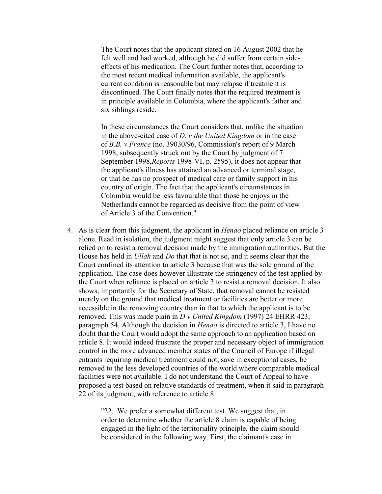The Court notes that the applicant stated on 16 August 2002 that he felt well and had worked, although he did suffer from certain sideeffects of his medication. The Court further notes that, according to the most recent medical information available, the applicant's current condition is reasonable but may relapse if treatment is discontinued. The Court finally notes that the required treatment is in principle available in Colombia, where the applicant's father and six siblings reside.

In these circumstances the Court considers that, unlike the situation in the above-cited case of *D. v the United Kingdom* or in the case of *B.B. v France* (no. 39030/96, Commission's report of 9 March 1998, subsequently struck out by the Court by judgment of 7 September 1998,*Reports* 1998-VI, p. 2595), it does not appear that the applicant's illness has attained an advanced or terminal stage, or that he has no prospect of medical care or family support in his country of origin. The fact that the applicant's circumstances in Colombia would be less favourable than those he enjoys in the Netherlands cannot be regarded as decisive from the point of view of Article 3 of the Convention."

4. As is clear from this judgment, the applicant in *Henao* placed reliance on article 3 alone. Read in isolation, the judgment might suggest that only article 3 can be relied on to resist a removal decision made by the immigration authorities. But the House has held in *Ullah* and *Do* that that is not so, and it seems clear that the Court confined its attention to article 3 because that was the sole ground of the application. The case does however illustrate the stringency of the test applied by the Court when reliance is placed on article 3 to resist a removal decision. It also shows, importantly for the Secretary of State, that removal cannot be resisted merely on the ground that medical treatment or facilities are better or more accessible in the removing country than in that to which the applicant is to be removed. This was made plain in *D v United Kingdom* (1997) 24 EHRR 423, paragraph 54. Although the decision in *Henao* is directed to article 3, I have no doubt that the Court would adopt the same approach to an application based on article 8. It would indeed frustrate the proper and necessary object of immigration control in the more advanced member states of the Council of Europe if illegal entrants requiring medical treatment could not, save in exceptional cases, be removed to the less developed countries of the world where comparable medical facilities were not available. I do not understand the Court of Appeal to have proposed a test based on relative standards of treatment, when it said in paragraph 22 of its judgment, with reference to article 8:

> "22. We prefer a somewhat different test. We suggest that, in order to determine whether the article 8 claim is capable of being engaged in the light of the territoriality principle, the claim should be considered in the following way. First, the claimant's case in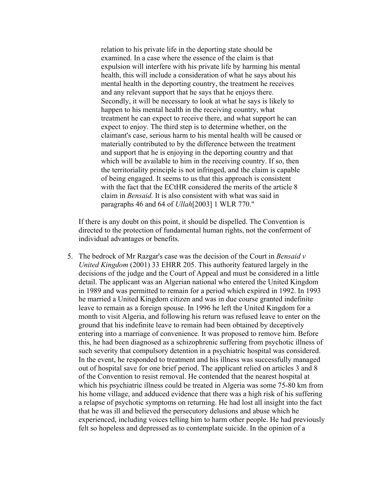relation to his private life in the deporting state should be examined. In a case where the essence of the claim is that expulsion will interfere with his private life by harming his mental health, this will include a consideration of what he says about his mental health in the deporting country, the treatment he receives and any relevant support that he says that he enjoys there. Secondly, it will be necessary to look at what he says is likely to happen to his mental health in the receiving country, what treatment he can expect to receive there, and what support he can expect to enjoy. The third step is to determine whether, on the claimant's case, serious harm to his mental health will be caused or materially contributed to by the difference between the treatment and support that he is enjoying in the deporting country and that which will be available to him in the receiving country. If so, then the territoriality principle is not infringed, and the claim is capable of being engaged. It seems to us that this approach is consistent with the fact that the ECtHR considered the merits of the article 8 claim in *Bensaid.* It is also consistent with what was said in paragraphs 46 and 64 of *Ullah*[2003] 1 WLR 770."

If there is any doubt on this point, it should be dispelled. The Convention is directed to the protection of fundamental human rights, not the conferment of individual advantages or benefits.

5. The bedrock of Mr Razgar's case was the decision of the Court in *Bensaid v United Kingdom* (2001) 33 EHRR 205. This authority featured largely in the decisions of the judge and the Court of Appeal and must be considered in a little detail. The applicant was an Algerian national who entered the United Kingdom in 1989 and was permitted to remain for a period which expired in 1992. In 1993 he married a United Kingdom citizen and was in due course granted indefinite leave to remain as a foreign spouse. In 1996 he left the United Kingdom for a month to visit Algeria, and following his return was refused leave to enter on the ground that his indefinite leave to remain had been obtained by deceptively entering into a marriage of convenience. It was proposed to remove him. Before this, he had been diagnosed as a schizophrenic suffering from psychotic illness of such severity that compulsory detention in a psychiatric hospital was considered. In the event, he responded to treatment and his illness was successfully managed out of hospital save for one brief period. The applicant relied on articles 3 and 8 of the Convention to resist removal. He contended that the nearest hospital at which his psychiatric illness could be treated in Algeria was some 75-80 km from his home village, and adduced evidence that there was a high risk of his suffering a relapse of psychotic symptoms on returning. He had lost all insight into the fact that he was ill and believed the persecutory delusions and abuse which he experienced, including voices telling him to harm other people. He had previously felt so hopeless and depressed as to contemplate suicide. In the opinion of a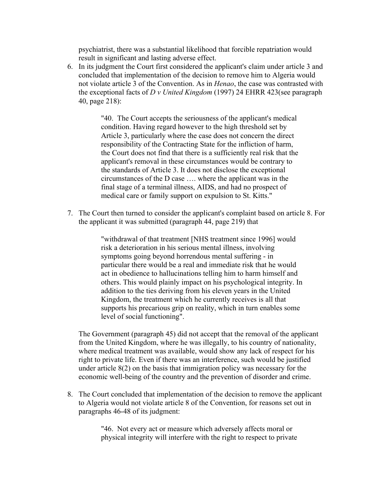psychiatrist, there was a substantial likelihood that forcible repatriation would result in significant and lasting adverse effect.

6. In its judgment the Court first considered the applicant's claim under article 3 and concluded that implementation of the decision to remove him to Algeria would not violate article 3 of the Convention. As in *Henao*, the case was contrasted with the exceptional facts of *D v United Kingdom* (1997) 24 EHRR 423(see paragraph 40, page 218):

> "40. The Court accepts the seriousness of the applicant's medical condition. Having regard however to the high threshold set by Article 3, particularly where the case does not concern the direct responsibility of the Contracting State for the infliction of harm, the Court does not find that there is a sufficiently real risk that the applicant's removal in these circumstances would be contrary to the standards of Article 3. It does not disclose the exceptional circumstances of the D case …. where the applicant was in the final stage of a terminal illness, AIDS, and had no prospect of medical care or family support on expulsion to St. Kitts."

7. The Court then turned to consider the applicant's complaint based on article 8. For the applicant it was submitted (paragraph 44, page 219) that

> "withdrawal of that treatment [NHS treatment since 1996] would risk a deterioration in his serious mental illness, involving symptoms going beyond horrendous mental suffering - in particular there would be a real and immediate risk that he would act in obedience to hallucinations telling him to harm himself and others. This would plainly impact on his psychological integrity. In addition to the ties deriving from his eleven years in the United Kingdom, the treatment which he currently receives is all that supports his precarious grip on reality, which in turn enables some level of social functioning".

The Government (paragraph 45) did not accept that the removal of the applicant from the United Kingdom, where he was illegally, to his country of nationality, where medical treatment was available, would show any lack of respect for his right to private life. Even if there was an interference, such would be justified under article 8(2) on the basis that immigration policy was necessary for the economic well-being of the country and the prevention of disorder and crime.

8. The Court concluded that implementation of the decision to remove the applicant to Algeria would not violate article 8 of the Convention, for reasons set out in paragraphs 46-48 of its judgment:

> "46. Not every act or measure which adversely affects moral or physical integrity will interfere with the right to respect to private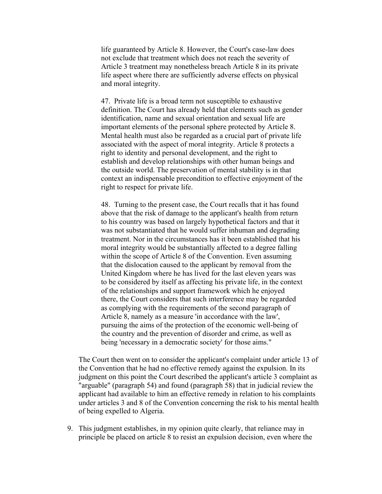life guaranteed by Article 8. However, the Court's case-law does not exclude that treatment which does not reach the severity of Article 3 treatment may nonetheless breach Article 8 in its private life aspect where there are sufficiently adverse effects on physical and moral integrity.

47. Private life is a broad term not susceptible to exhaustive definition. The Court has already held that elements such as gender identification, name and sexual orientation and sexual life are important elements of the personal sphere protected by Article 8. Mental health must also be regarded as a crucial part of private life associated with the aspect of moral integrity. Article 8 protects a right to identity and personal development, and the right to establish and develop relationships with other human beings and the outside world. The preservation of mental stability is in that context an indispensable precondition to effective enjoyment of the right to respect for private life.

48. Turning to the present case, the Court recalls that it has found above that the risk of damage to the applicant's health from return to his country was based on largely hypothetical factors and that it was not substantiated that he would suffer inhuman and degrading treatment. Nor in the circumstances has it been established that his moral integrity would be substantially affected to a degree falling within the scope of Article 8 of the Convention. Even assuming that the dislocation caused to the applicant by removal from the United Kingdom where he has lived for the last eleven years was to be considered by itself as affecting his private life, in the context of the relationships and support framework which he enjoyed there, the Court considers that such interference may be regarded as complying with the requirements of the second paragraph of Article 8, namely as a measure 'in accordance with the law', pursuing the aims of the protection of the economic well-being of the country and the prevention of disorder and crime, as well as being 'necessary in a democratic society' for those aims."

The Court then went on to consider the applicant's complaint under article 13 of the Convention that he had no effective remedy against the expulsion. In its judgment on this point the Court described the applicant's article 3 complaint as "arguable" (paragraph 54) and found (paragraph 58) that in judicial review the applicant had available to him an effective remedy in relation to his complaints under articles 3 and 8 of the Convention concerning the risk to his mental health of being expelled to Algeria.

9. This judgment establishes, in my opinion quite clearly, that reliance may in principle be placed on article 8 to resist an expulsion decision, even where the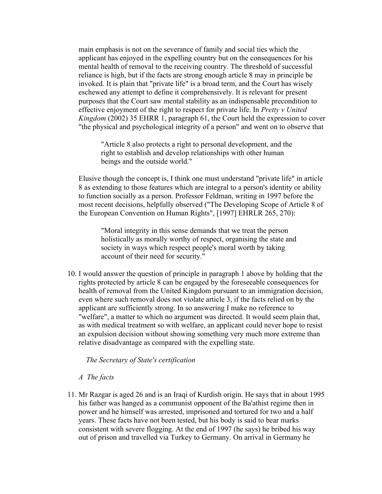main emphasis is not on the severance of family and social ties which the applicant has enjoyed in the expelling country but on the consequences for his mental health of removal to the receiving country. The threshold of successful reliance is high, but if the facts are strong enough article 8 may in principle be invoked. It is plain that "private life" is a broad term, and the Court has wisely eschewed any attempt to define it comprehensively. It is relevant for present purposes that the Court saw mental stability as an indispensable precondition to effective enjoyment of the right to respect for private life. In *Pretty v United Kingdom* (2002) 35 EHRR 1, paragraph 61, the Court held the expression to cover "the physical and psychological integrity of a person" and went on to observe that

"Article 8 also protects a right to personal development, and the right to establish and develop relationships with other human beings and the outside world."

Elusive though the concept is, I think one must understand "private life" in article 8 as extending to those features which are integral to a person's identity or ability to function socially as a person. Professor Feldman, writing in 1997 before the most recent decisions, helpfully observed ("The Developing Scope of Article 8 of the European Convention on Human Rights", [1997] EHRLR 265, 270):

"Moral integrity in this sense demands that we treat the person holistically as morally worthy of respect, organising the state and society in ways which respect people's moral worth by taking account of their need for security."

10. I would answer the question of principle in paragraph 1 above by holding that the rights protected by article 8 can be engaged by the foreseeable consequences for health of removal from the United Kingdom pursuant to an immigration decision, even where such removal does not violate article 3, if the facts relied on by the applicant are sufficiently strong. In so answering I make no reference to "welfare", a matter to which no argument was directed. It would seem plain that, as with medical treatment so with welfare, an applicant could never hope to resist an expulsion decision without showing something very much more extreme than relative disadvantage as compared with the expelling state.

 *The Secretary of State's certification*

## *A The facts*

11. Mr Razgar is aged 26 and is an Iraqi of Kurdish origin. He says that in about 1995 his father was hanged as a communist opponent of the Ba'athist regime then in power and he himself was arrested, imprisoned and tortured for two and a half years. These facts have not been tested, but his body is said to bear marks consistent with severe flogging. At the end of 1997 (he says) he bribed his way out of prison and travelled via Turkey to Germany. On arrival in Germany he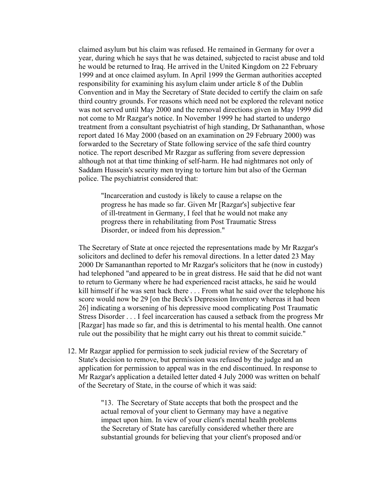claimed asylum but his claim was refused. He remained in Germany for over a year, during which he says that he was detained, subjected to racist abuse and told he would be returned to Iraq. He arrived in the United Kingdom on 22 February 1999 and at once claimed asylum. In April 1999 the German authorities accepted responsibility for examining his asylum claim under article 8 of the Dublin Convention and in May the Secretary of State decided to certify the claim on safe third country grounds. For reasons which need not be explored the relevant notice was not served until May 2000 and the removal directions given in May 1999 did not come to Mr Razgar's notice. In November 1999 he had started to undergo treatment from a consultant psychiatrist of high standing, Dr Sathananthan, whose report dated 16 May 2000 (based on an examination on 29 February 2000) was forwarded to the Secretary of State following service of the safe third country notice. The report described Mr Razgar as suffering from severe depression although not at that time thinking of self-harm. He had nightmares not only of Saddam Hussein's security men trying to torture him but also of the German police. The psychiatrist considered that:

"Incarceration and custody is likely to cause a relapse on the progress he has made so far. Given Mr [Razgar's] subjective fear of ill-treatment in Germany, I feel that he would not make any progress there in rehabilitating from Post Traumatic Stress Disorder, or indeed from his depression."

The Secretary of State at once rejected the representations made by Mr Razgar's solicitors and declined to defer his removal directions. In a letter dated 23 May 2000 Dr Samananthan reported to Mr Razgar's solicitors that he (now in custody) had telephoned "and appeared to be in great distress. He said that he did not want to return to Germany where he had experienced racist attacks, he said he would kill himself if he was sent back there . . . From what he said over the telephone his score would now be 29 [on the Beck's Depression Inventory whereas it had been 26] indicating a worsening of his depressive mood complicating Post Traumatic Stress Disorder . . . I feel incarceration has caused a setback from the progress Mr [Razgar] has made so far, and this is detrimental to his mental health. One cannot rule out the possibility that he might carry out his threat to commit suicide."

12. Mr Razgar applied for permission to seek judicial review of the Secretary of State's decision to remove, but permission was refused by the judge and an application for permission to appeal was in the end discontinued. In response to Mr Razgar's application a detailed letter dated 4 July 2000 was written on behalf of the Secretary of State, in the course of which it was said:

> "13. The Secretary of State accepts that both the prospect and the actual removal of your client to Germany may have a negative impact upon him. In view of your client's mental health problems the Secretary of State has carefully considered whether there are substantial grounds for believing that your client's proposed and/or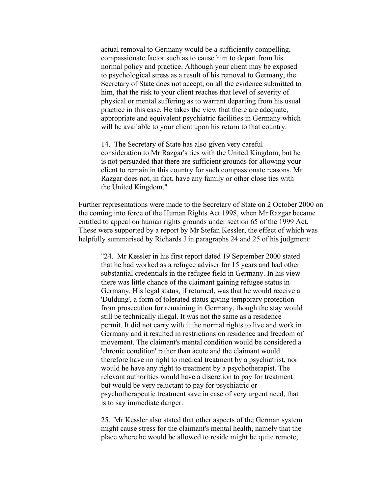actual removal to Germany would be a sufficiently compelling, compassionate factor such as to cause him to depart from his normal policy and practice. Although your client may be exposed to psychological stress as a result of his removal to Germany, the Secretary of State does not accept, on all the evidence submitted to him, that the risk to your client reaches that level of severity of physical or mental suffering as to warrant departing from his usual practice in this case. He takes the view that there are adequate, appropriate and equivalent psychiatric facilities in Germany which will be available to your client upon his return to that country.

14. The Secretary of State has also given very careful consideration to Mr Razgar's ties with the United Kingdom, but he is not persuaded that there are sufficient grounds for allowing your client to remain in this country for such compassionate reasons. Mr Razgar does not, in fact, have any family or other close ties with the United Kingdom."

Further representations were made to the Secretary of State on 2 October 2000 on the coming into force of the Human Rights Act 1998, when Mr Razgar became entitled to appeal on human rights grounds under section 65 of the 1999 Act. These were supported by a report by Mr Stefan Kessler, the effect of which was helpfully summarised by Richards J in paragraphs 24 and 25 of his judgment:

"24. Mr Kessler in his first report dated 19 September 2000 stated that he had worked as a refugee adviser for 15 years and had other substantial credentials in the refugee field in Germany. In his view there was little chance of the claimant gaining refugee status in Germany. His legal status, if returned, was that he would receive a 'Duldung', a form of tolerated status giving temporary protection from prosecution for remaining in Germany, though the stay would still be technically illegal. It was not the same as a residence permit. It did not carry with it the normal rights to live and work in Germany and it resulted in restrictions on residence and freedom of movement. The claimant's mental condition would be considered a 'chronic condition' rather than acute and the claimant would therefore have no right to medical treatment by a psychiatrist, nor would he have any right to treatment by a psychotherapist. The relevant authorities would have a discretion to pay for treatment but would be very reluctant to pay for psychiatric or psychotherapeutic treatment save in case of very urgent need, that is to say immediate danger.

25. Mr Kessler also stated that other aspects of the German system might cause stress for the claimant's mental health, namely that the place where he would be allowed to reside might be quite remote,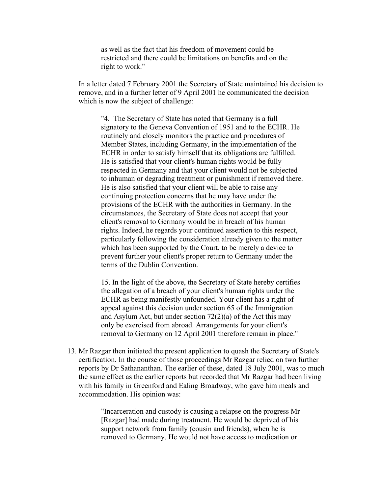as well as the fact that his freedom of movement could be restricted and there could be limitations on benefits and on the right to work."

In a letter dated 7 February 2001 the Secretary of State maintained his decision to remove, and in a further letter of 9 April 2001 he communicated the decision which is now the subject of challenge:

"4. The Secretary of State has noted that Germany is a full signatory to the Geneva Convention of 1951 and to the ECHR. He routinely and closely monitors the practice and procedures of Member States, including Germany, in the implementation of the ECHR in order to satisfy himself that its obligations are fulfilled. He is satisfied that your client's human rights would be fully respected in Germany and that your client would not be subjected to inhuman or degrading treatment or punishment if removed there. He is also satisfied that your client will be able to raise any continuing protection concerns that he may have under the provisions of the ECHR with the authorities in Germany. In the circumstances, the Secretary of State does not accept that your client's removal to Germany would be in breach of his human rights. Indeed, he regards your continued assertion to this respect, particularly following the consideration already given to the matter which has been supported by the Court, to be merely a device to prevent further your client's proper return to Germany under the terms of the Dublin Convention.

15. In the light of the above, the Secretary of State hereby certifies the allegation of a breach of your client's human rights under the ECHR as being manifestly unfounded. Your client has a right of appeal against this decision under section 65 of the Immigration and Asylum Act, but under section 72(2)(a) of the Act this may only be exercised from abroad. Arrangements for your client's removal to Germany on 12 April 2001 therefore remain in place."

13. Mr Razgar then initiated the present application to quash the Secretary of State's certification. In the course of those proceedings Mr Razgar relied on two further reports by Dr Sathananthan. The earlier of these, dated 18 July 2001, was to much the same effect as the earlier reports but recorded that Mr Razgar had been living with his family in Greenford and Ealing Broadway, who gave him meals and accommodation. His opinion was:

> "Incarceration and custody is causing a relapse on the progress Mr [Razgar] had made during treatment. He would be deprived of his support network from family (cousin and friends), when he is removed to Germany. He would not have access to medication or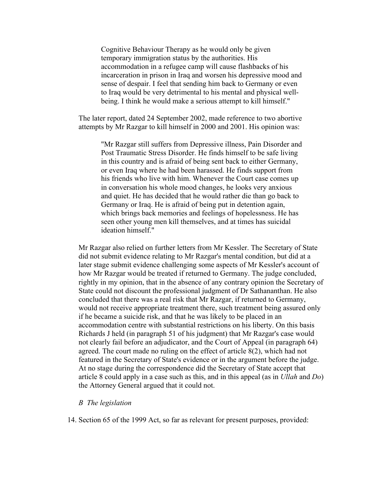Cognitive Behaviour Therapy as he would only be given temporary immigration status by the authorities. His accommodation in a refugee camp will cause flashbacks of his incarceration in prison in Iraq and worsen his depressive mood and sense of despair. I feel that sending him back to Germany or even to Iraq would be very detrimental to his mental and physical wellbeing. I think he would make a serious attempt to kill himself."

The later report, dated 24 September 2002, made reference to two abortive attempts by Mr Razgar to kill himself in 2000 and 2001. His opinion was:

"Mr Razgar still suffers from Depressive illness, Pain Disorder and Post Traumatic Stress Disorder. He finds himself to be safe living in this country and is afraid of being sent back to either Germany, or even Iraq where he had been harassed. He finds support from his friends who live with him. Whenever the Court case comes up in conversation his whole mood changes, he looks very anxious and quiet. He has decided that he would rather die than go back to Germany or Iraq. He is afraid of being put in detention again, which brings back memories and feelings of hopelessness. He has seen other young men kill themselves, and at times has suicidal ideation himself."

Mr Razgar also relied on further letters from Mr Kessler. The Secretary of State did not submit evidence relating to Mr Razgar's mental condition, but did at a later stage submit evidence challenging some aspects of Mr Kessler's account of how Mr Razgar would be treated if returned to Germany. The judge concluded, rightly in my opinion, that in the absence of any contrary opinion the Secretary of State could not discount the professional judgment of Dr Sathananthan. He also concluded that there was a real risk that Mr Razgar, if returned to Germany, would not receive appropriate treatment there, such treatment being assured only if he became a suicide risk, and that he was likely to be placed in an accommodation centre with substantial restrictions on his liberty. On this basis Richards J held (in paragraph 51 of his judgment) that Mr Razgar's case would not clearly fail before an adjudicator, and the Court of Appeal (in paragraph 64) agreed. The court made no ruling on the effect of article 8(2), which had not featured in the Secretary of State's evidence or in the argument before the judge. At no stage during the correspondence did the Secretary of State accept that article 8 could apply in a case such as this, and in this appeal (as in *Ullah* and *Do*) the Attorney General argued that it could not.

#### *B The legislation*

14. Section 65 of the 1999 Act, so far as relevant for present purposes, provided: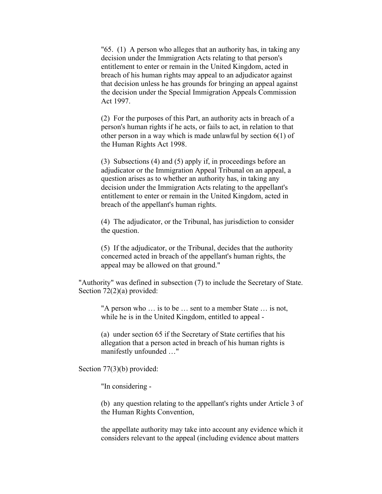"65. (1) A person who alleges that an authority has, in taking any decision under the Immigration Acts relating to that person's entitlement to enter or remain in the United Kingdom, acted in breach of his human rights may appeal to an adjudicator against that decision unless he has grounds for bringing an appeal against the decision under the Special Immigration Appeals Commission Act 1997.

(2) For the purposes of this Part, an authority acts in breach of a person's human rights if he acts, or fails to act, in relation to that other person in a way which is made unlawful by section 6(1) of the Human Rights Act 1998.

(3) Subsections (4) and (5) apply if, in proceedings before an adjudicator or the Immigration Appeal Tribunal on an appeal, a question arises as to whether an authority has, in taking any decision under the Immigration Acts relating to the appellant's entitlement to enter or remain in the United Kingdom, acted in breach of the appellant's human rights.

(4) The adjudicator, or the Tribunal, has jurisdiction to consider the question.

(5) If the adjudicator, or the Tribunal, decides that the authority concerned acted in breach of the appellant's human rights, the appeal may be allowed on that ground."

"Authority" was defined in subsection (7) to include the Secretary of State. Section 72(2)(a) provided:

"A person who … is to be … sent to a member State … is not, while he is in the United Kingdom, entitled to appeal -

(a) under section 65 if the Secretary of State certifies that his allegation that a person acted in breach of his human rights is manifestly unfounded …"

Section 77(3)(b) provided:

"In considering -

(b) any question relating to the appellant's rights under Article 3 of the Human Rights Convention,

the appellate authority may take into account any evidence which it considers relevant to the appeal (including evidence about matters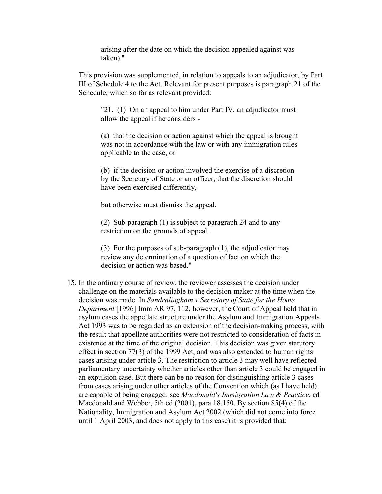arising after the date on which the decision appealed against was taken)."

This provision was supplemented, in relation to appeals to an adjudicator, by Part III of Schedule 4 to the Act. Relevant for present purposes is paragraph 21 of the Schedule, which so far as relevant provided:

"21. (1) On an appeal to him under Part IV, an adjudicator must allow the appeal if he considers -

(a) that the decision or action against which the appeal is brought was not in accordance with the law or with any immigration rules applicable to the case, or

(b) if the decision or action involved the exercise of a discretion by the Secretary of State or an officer, that the discretion should have been exercised differently,

but otherwise must dismiss the appeal.

(2) Sub-paragraph (1) is subject to paragraph 24 and to any restriction on the grounds of appeal.

(3) For the purposes of sub-paragraph (1), the adjudicator may review any determination of a question of fact on which the decision or action was based."

15. In the ordinary course of review, the reviewer assesses the decision under challenge on the materials available to the decision-maker at the time when the decision was made. In *Sandralingham v Secretary of State for the Home Department* [1996] Imm AR 97, 112, however, the Court of Appeal held that in asylum cases the appellate structure under the Asylum and Immigration Appeals Act 1993 was to be regarded as an extension of the decision-making process, with the result that appellate authorities were not restricted to consideration of facts in existence at the time of the original decision. This decision was given statutory effect in section 77(3) of the 1999 Act, and was also extended to human rights cases arising under article 3. The restriction to article 3 may well have reflected parliamentary uncertainty whether articles other than article 3 could be engaged in an expulsion case. But there can be no reason for distinguishing article 3 cases from cases arising under other articles of the Convention which (as I have held) are capable of being engaged: see *Macdonald's Immigration Law & Practice*, ed Macdonald and Webber, 5th ed (2001), para 18.150. By section 85(4) of the Nationality, Immigration and Asylum Act 2002 (which did not come into force until 1 April 2003, and does not apply to this case) it is provided that: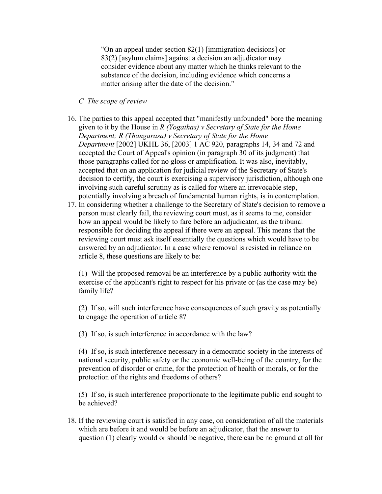"On an appeal under section 82(1) [immigration decisions] or 83(2) [asylum claims] against a decision an adjudicator may consider evidence about any matter which he thinks relevant to the substance of the decision, including evidence which concerns a matter arising after the date of the decision."

## *C The scope of review*

- 16. The parties to this appeal accepted that "manifestly unfounded" bore the meaning given to it by the House in *R (Yogathas) v Secretary of State for the Home Department; R (Thangarasa) v Secretary of State for the Home Department* [2002] UKHL 36, [2003] 1 AC 920, paragraphs 14, 34 and 72 and accepted the Court of Appeal's opinion (in paragraph 30 of its judgment) that those paragraphs called for no gloss or amplification. It was also, inevitably, accepted that on an application for judicial review of the Secretary of State's decision to certify, the court is exercising a supervisory jurisdiction, although one involving such careful scrutiny as is called for where an irrevocable step, potentially involving a breach of fundamental human rights, is in contemplation.
- 17. In considering whether a challenge to the Secretary of State's decision to remove a person must clearly fail, the reviewing court must, as it seems to me, consider how an appeal would be likely to fare before an adjudicator, as the tribunal responsible for deciding the appeal if there were an appeal. This means that the reviewing court must ask itself essentially the questions which would have to be answered by an adjudicator. In a case where removal is resisted in reliance on article 8, these questions are likely to be:

(1) Will the proposed removal be an interference by a public authority with the exercise of the applicant's right to respect for his private or (as the case may be) family life?

(2) If so, will such interference have consequences of such gravity as potentially to engage the operation of article 8?

(3) If so, is such interference in accordance with the law?

(4) If so, is such interference necessary in a democratic society in the interests of national security, public safety or the economic well-being of the country, for the prevention of disorder or crime, for the protection of health or morals, or for the protection of the rights and freedoms of others?

(5) If so, is such interference proportionate to the legitimate public end sought to be achieved?

18. If the reviewing court is satisfied in any case, on consideration of all the materials which are before it and would be before an adjudicator, that the answer to question (1) clearly would or should be negative, there can be no ground at all for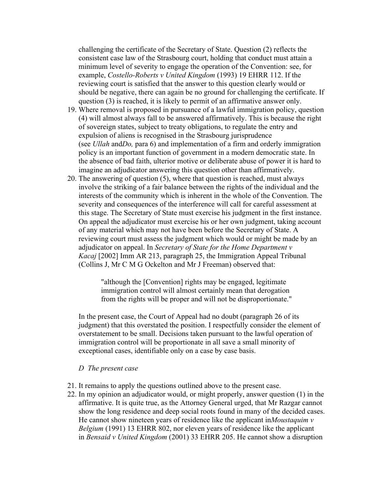challenging the certificate of the Secretary of State. Question (2) reflects the consistent case law of the Strasbourg court, holding that conduct must attain a minimum level of severity to engage the operation of the Convention: see, for example, *Costello-Roberts v United Kingdom* (1993) 19 EHRR 112. If the reviewing court is satisfied that the answer to this question clearly would or should be negative, there can again be no ground for challenging the certificate. If question (3) is reached, it is likely to permit of an affirmative answer only.

- 19. Where removal is proposed in pursuance of a lawful immigration policy, question (4) will almost always fall to be answered affirmatively. This is because the right of sovereign states, subject to treaty obligations, to regulate the entry and expulsion of aliens is recognised in the Strasbourg jurisprudence (see *Ullah* and*Do,* para 6) and implementation of a firm and orderly immigration policy is an important function of government in a modern democratic state. In the absence of bad faith, ulterior motive or deliberate abuse of power it is hard to imagine an adjudicator answering this question other than affirmatively.
- 20. The answering of question (5), where that question is reached, must always involve the striking of a fair balance between the rights of the individual and the interests of the community which is inherent in the whole of the Convention. The severity and consequences of the interference will call for careful assessment at this stage. The Secretary of State must exercise his judgment in the first instance. On appeal the adjudicator must exercise his or her own judgment, taking account of any material which may not have been before the Secretary of State. A reviewing court must assess the judgment which would or might be made by an adjudicator on appeal. In *Secretary of State for the Home Department v Kacaj* [2002] Imm AR 213, paragraph 25, the Immigration Appeal Tribunal (Collins J, Mr C M G Ockelton and Mr J Freeman) observed that:

"although the [Convention] rights may be engaged, legitimate immigration control will almost certainly mean that derogation from the rights will be proper and will not be disproportionate."

In the present case, the Court of Appeal had no doubt (paragraph 26 of its judgment) that this overstated the position. I respectfully consider the element of overstatement to be small. Decisions taken pursuant to the lawful operation of immigration control will be proportionate in all save a small minority of exceptional cases, identifiable only on a case by case basis.

## *D The present case*

- 21. It remains to apply the questions outlined above to the present case.
- 22. In my opinion an adjudicator would, or might properly, answer question (1) in the affirmative. It is quite true, as the Attorney General urged, that Mr Razgar cannot show the long residence and deep social roots found in many of the decided cases. He cannot show nineteen years of residence like the applicant in*Moustaquim v Belgium* (1991) 13 EHRR 802, nor eleven years of residence like the applicant in *Bensaid v United Kingdom* (2001) 33 EHRR 205. He cannot show a disruption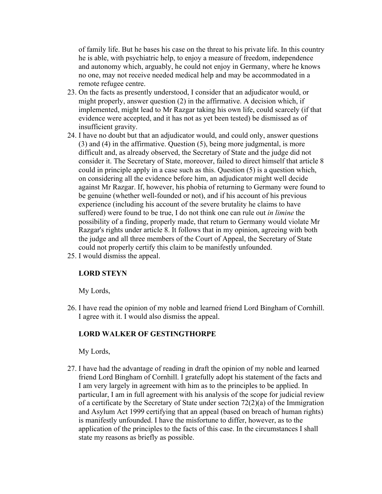of family life. But he bases his case on the threat to his private life. In this country he is able, with psychiatric help, to enjoy a measure of freedom, independence and autonomy which, arguably, he could not enjoy in Germany, where he knows no one, may not receive needed medical help and may be accommodated in a remote refugee centre.

- 23. On the facts as presently understood, I consider that an adjudicator would, or might properly, answer question (2) in the affirmative. A decision which, if implemented, might lead to Mr Razgar taking his own life, could scarcely (if that evidence were accepted, and it has not as yet been tested) be dismissed as of insufficient gravity.
- 24. I have no doubt but that an adjudicator would, and could only, answer questions (3) and (4) in the affirmative. Question (5), being more judgmental, is more difficult and, as already observed, the Secretary of State and the judge did not consider it. The Secretary of State, moreover, failed to direct himself that article 8 could in principle apply in a case such as this. Question (5) is a question which, on considering all the evidence before him, an adjudicator might well decide against Mr Razgar. If, however, his phobia of returning to Germany were found to be genuine (whether well-founded or not), and if his account of his previous experience (including his account of the severe brutality he claims to have suffered) were found to be true, I do not think one can rule out *in limine* the possibility of a finding, properly made, that return to Germany would violate Mr Razgar's rights under article 8. It follows that in my opinion, agreeing with both the judge and all three members of the Court of Appeal, the Secretary of State could not properly certify this claim to be manifestly unfounded.
- 25. I would dismiss the appeal.

# **LORD STEYN**

My Lords,

26. I have read the opinion of my noble and learned friend Lord Bingham of Cornhill. I agree with it. I would also dismiss the appeal.

# **LORD WALKER OF GESTINGTHORPE**

My Lords,

27. I have had the advantage of reading in draft the opinion of my noble and learned friend Lord Bingham of Cornhill. I gratefully adopt his statement of the facts and I am very largely in agreement with him as to the principles to be applied. In particular, I am in full agreement with his analysis of the scope for judicial review of a certificate by the Secretary of State under section 72(2)(a) of the Immigration and Asylum Act 1999 certifying that an appeal (based on breach of human rights) is manifestly unfounded. I have the misfortune to differ, however, as to the application of the principles to the facts of this case. In the circumstances I shall state my reasons as briefly as possible.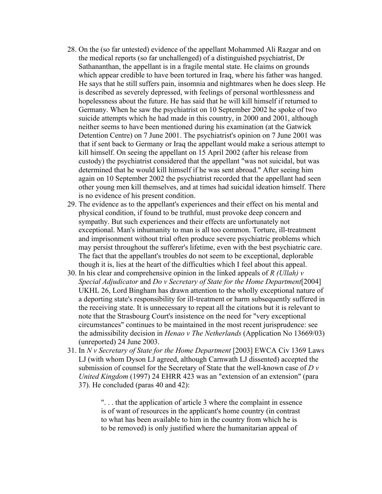- 28. On the (so far untested) evidence of the appellant Mohammed Ali Razgar and on the medical reports (so far unchallenged) of a distinguished psychiatrist, Dr Sathananthan, the appellant is in a fragile mental state. He claims on grounds which appear credible to have been tortured in Iraq, where his father was hanged. He says that he still suffers pain, insomnia and nightmares when he does sleep. He is described as severely depressed, with feelings of personal worthlessness and hopelessness about the future. He has said that he will kill himself if returned to Germany. When he saw the psychiatrist on 10 September 2002 he spoke of two suicide attempts which he had made in this country, in 2000 and 2001, although neither seems to have been mentioned during his examination (at the Gatwick Detention Centre) on 7 June 2001. The psychiatrist's opinion on 7 June 2001 was that if sent back to Germany or Iraq the appellant would make a serious attempt to kill himself. On seeing the appellant on 15 April 2002 (after his release from custody) the psychiatrist considered that the appellant "was not suicidal, but was determined that he would kill himself if he was sent abroad." After seeing him again on 10 September 2002 the psychiatrist recorded that the appellant had seen other young men kill themselves, and at times had suicidal ideation himself. There is no evidence of his present condition.
- 29. The evidence as to the appellant's experiences and their effect on his mental and physical condition, if found to be truthful, must provoke deep concern and sympathy. But such experiences and their effects are unfortunately not exceptional. Man's inhumanity to man is all too common. Torture, ill-treatment and imprisonment without trial often produce severe psychiatric problems which may persist throughout the sufferer's lifetime, even with the best psychiatric care. The fact that the appellant's troubles do not seem to be exceptional, deplorable though it is, lies at the heart of the difficulties which I feel about this appeal.
- 30. In his clear and comprehensive opinion in the linked appeals of *R (Ullah) v Special Adjudicator* and *Do v Secretary of State for the Home Department*[2004] UKHL 26, Lord Bingham has drawn attention to the wholly exceptional nature of a deporting state's responsibility for ill-treatment or harm subsequently suffered in the receiving state. It is unnecessary to repeat all the citations but it is relevant to note that the Strasbourg Court's insistence on the need for "very exceptional circumstances" continues to be maintained in the most recent jurisprudence: see the admissibility decision in *Henao v The Netherlands* (Application No 13669/03) (unreported) 24 June 2003.
- 31. In *N v Secretary of State for the Home Department* [2003] EWCA Civ 1369 Laws LJ (with whom Dyson LJ agreed, although Carnwath LJ dissented) accepted the submission of counsel for the Secretary of State that the well-known case of *D v United Kingdom* (1997) 24 EHRR 423 was an "extension of an extension" (para 37). He concluded (paras 40 and 42):

". . . that the application of article 3 where the complaint in essence is of want of resources in the applicant's home country (in contrast to what has been available to him in the country from which he is to be removed) is only justified where the humanitarian appeal of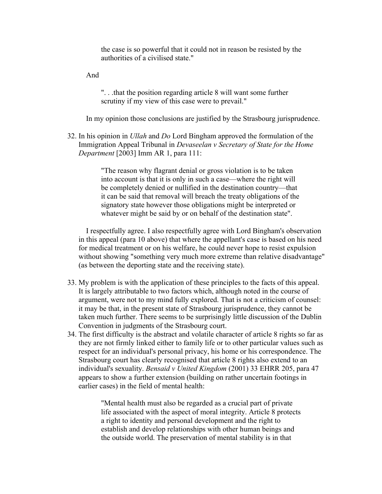the case is so powerful that it could not in reason be resisted by the authorities of a civilised state."

And

". . .that the position regarding article 8 will want some further scrutiny if my view of this case were to prevail."

In my opinion those conclusions are justified by the Strasbourg jurisprudence.

32. In his opinion in *Ullah* and *Do* Lord Bingham approved the formulation of the Immigration Appeal Tribunal in *Devaseelan v Secretary of State for the Home Department* [2003] Imm AR 1, para 111:

> "The reason why flagrant denial or gross violation is to be taken into account is that it is only in such a case—where the right will be completely denied or nullified in the destination country—that it can be said that removal will breach the treaty obligations of the signatory state however those obligations might be interpreted or whatever might be said by or on behalf of the destination state".

 I respectfully agree. I also respectfully agree with Lord Bingham's observation in this appeal (para 10 above) that where the appellant's case is based on his need for medical treatment or on his welfare, he could never hope to resist expulsion without showing "something very much more extreme than relative disadvantage" (as between the deporting state and the receiving state).

- 33. My problem is with the application of these principles to the facts of this appeal. It is largely attributable to two factors which, although noted in the course of argument, were not to my mind fully explored. That is not a criticism of counsel: it may be that, in the present state of Strasbourg jurisprudence, they cannot be taken much further. There seems to be surprisingly little discussion of the Dublin Convention in judgments of the Strasbourg court.
- 34. The first difficulty is the abstract and volatile character of article 8 rights so far as they are not firmly linked either to family life or to other particular values such as respect for an individual's personal privacy, his home or his correspondence. The Strasbourg court has clearly recognised that article 8 rights also extend to an individual's sexuality. *Bensaid v United Kingdom* (2001) 33 EHRR 205, para 47 appears to show a further extension (building on rather uncertain footings in earlier cases) in the field of mental health:

"Mental health must also be regarded as a crucial part of private life associated with the aspect of moral integrity. Article 8 protects a right to identity and personal development and the right to establish and develop relationships with other human beings and the outside world. The preservation of mental stability is in that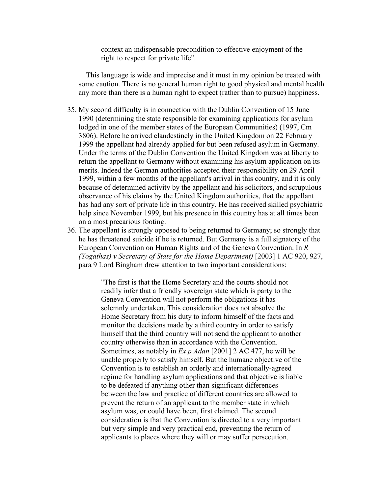context an indispensable precondition to effective enjoyment of the right to respect for private life".

 This language is wide and imprecise and it must in my opinion be treated with some caution. There is no general human right to good physical and mental health any more than there is a human right to expect (rather than to pursue) happiness.

- 35. My second difficulty is in connection with the Dublin Convention of 15 June 1990 (determining the state responsible for examining applications for asylum lodged in one of the member states of the European Communities) (1997, Cm 3806). Before he arrived clandestinely in the United Kingdom on 22 February 1999 the appellant had already applied for but been refused asylum in Germany. Under the terms of the Dublin Convention the United Kingdom was at liberty to return the appellant to Germany without examining his asylum application on its merits. Indeed the German authorities accepted their responsibility on 29 April 1999, within a few months of the appellant's arrival in this country, and it is only because of determined activity by the appellant and his solicitors, and scrupulous observance of his claims by the United Kingdom authorities, that the appellant has had any sort of private life in this country. He has received skilled psychiatric help since November 1999, but his presence in this country has at all times been on a most precarious footing.
- 36. The appellant is strongly opposed to being returned to Germany; so strongly that he has threatened suicide if he is returned. But Germany is a full signatory of the European Convention on Human Rights and of the Geneva Convention. In *R (Yogathas) v Secretary of State for the Home Department)* [2003] 1 AC 920, 927, para 9 Lord Bingham drew attention to two important considerations:

"The first is that the Home Secretary and the courts should not readily infer that a friendly sovereign state which is party to the Geneva Convention will not perform the obligations it has solemnly undertaken. This consideration does not absolve the Home Secretary from his duty to inform himself of the facts and monitor the decisions made by a third country in order to satisfy himself that the third country will not send the applicant to another country otherwise than in accordance with the Convention. Sometimes, as notably in *Ex p Adan* [2001] 2 AC 477, he will be unable properly to satisfy himself. But the humane objective of the Convention is to establish an orderly and internationally-agreed regime for handling asylum applications and that objective is liable to be defeated if anything other than significant differences between the law and practice of different countries are allowed to prevent the return of an applicant to the member state in which asylum was, or could have been, first claimed. The second consideration is that the Convention is directed to a very important but very simple and very practical end, preventing the return of applicants to places where they will or may suffer persecution.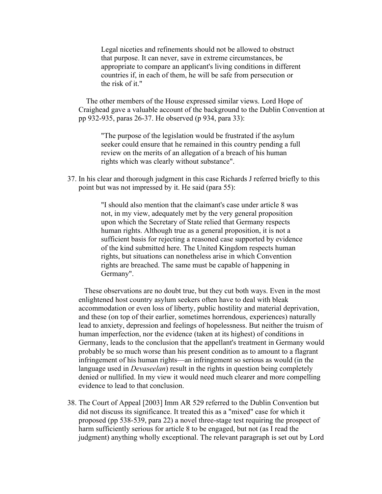Legal niceties and refinements should not be allowed to obstruct that purpose. It can never, save in extreme circumstances, be appropriate to compare an applicant's living conditions in different countries if, in each of them, he will be safe from persecution or the risk of it."

 The other members of the House expressed similar views. Lord Hope of Craighead gave a valuable account of the background to the Dublin Convention at pp 932-935, paras 26-37. He observed (p 934, para 33):

"The purpose of the legislation would be frustrated if the asylum seeker could ensure that he remained in this country pending a full review on the merits of an allegation of a breach of his human rights which was clearly without substance".

37. In his clear and thorough judgment in this case Richards J referred briefly to this point but was not impressed by it. He said (para 55):

> "I should also mention that the claimant's case under article 8 was not, in my view, adequately met by the very general proposition upon which the Secretary of State relied that Germany respects human rights. Although true as a general proposition, it is not a sufficient basis for rejecting a reasoned case supported by evidence of the kind submitted here. The United Kingdom respects human rights, but situations can nonetheless arise in which Convention rights are breached. The same must be capable of happening in Germany".

 These observations are no doubt true, but they cut both ways. Even in the most enlightened host country asylum seekers often have to deal with bleak accommodation or even loss of liberty, public hostility and material deprivation, and these (on top of their earlier, sometimes horrendous, experiences) naturally lead to anxiety, depression and feelings of hopelessness. But neither the truism of human imperfection, nor the evidence (taken at its highest) of conditions in Germany, leads to the conclusion that the appellant's treatment in Germany would probably be so much worse than his present condition as to amount to a flagrant infringement of his human rights—an infringement so serious as would (in the language used in *Devaseelan*) result in the rights in question being completely denied or nullified. In my view it would need much clearer and more compelling evidence to lead to that conclusion.

38. The Court of Appeal [2003] Imm AR 529 referred to the Dublin Convention but did not discuss its significance. It treated this as a "mixed" case for which it proposed (pp 538-539, para 22) a novel three-stage test requiring the prospect of harm sufficiently serious for article 8 to be engaged, but not (as I read the judgment) anything wholly exceptional. The relevant paragraph is set out by Lord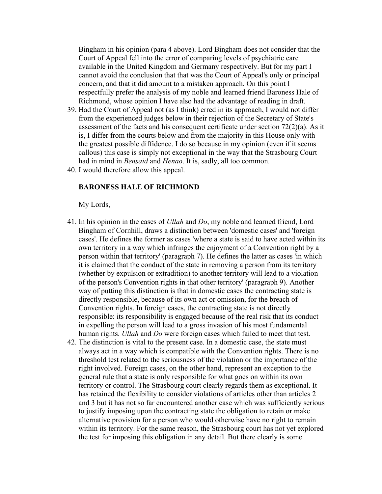Bingham in his opinion (para 4 above). Lord Bingham does not consider that the Court of Appeal fell into the error of comparing levels of psychiatric care available in the United Kingdom and Germany respectively. But for my part I cannot avoid the conclusion that that was the Court of Appeal's only or principal concern, and that it did amount to a mistaken approach. On this point I respectfully prefer the analysis of my noble and learned friend Baroness Hale of Richmond, whose opinion I have also had the advantage of reading in draft.

- 39. Had the Court of Appeal not (as I think) erred in its approach, I would not differ from the experienced judges below in their rejection of the Secretary of State's assessment of the facts and his consequent certificate under section 72(2)(a). As it is, I differ from the courts below and from the majority in this House only with the greatest possible diffidence. I do so because in my opinion (even if it seems callous) this case is simply not exceptional in the way that the Strasbourg Court had in mind in *Bensaid* and *Henao*. It is, sadly, all too common.
- 40. I would therefore allow this appeal.

#### **BARONESS HALE OF RICHMOND**

My Lords,

- 41. In his opinion in the cases of *Ullah* and *Do*, my noble and learned friend, Lord Bingham of Cornhill, draws a distinction between 'domestic cases' and 'foreign cases'. He defines the former as cases 'where a state is said to have acted within its own territory in a way which infringes the enjoyment of a Convention right by a person within that territory' (paragraph 7). He defines the latter as cases 'in which it is claimed that the conduct of the state in removing a person from its territory (whether by expulsion or extradition) to another territory will lead to a violation of the person's Convention rights in that other territory' (paragraph 9). Another way of putting this distinction is that in domestic cases the contracting state is directly responsible, because of its own act or omission, for the breach of Convention rights. In foreign cases, the contracting state is not directly responsible: its responsibility is engaged because of the real risk that its conduct in expelling the person will lead to a gross invasion of his most fundamental human rights. *Ullah* and *Do* were foreign cases which failed to meet that test.
- 42. The distinction is vital to the present case. In a domestic case, the state must always act in a way which is compatible with the Convention rights. There is no threshold test related to the seriousness of the violation or the importance of the right involved. Foreign cases, on the other hand, represent an exception to the general rule that a state is only responsible for what goes on within its own territory or control. The Strasbourg court clearly regards them as exceptional. It has retained the flexibility to consider violations of articles other than articles 2 and 3 but it has not so far encountered another case which was sufficiently serious to justify imposing upon the contracting state the obligation to retain or make alternative provision for a person who would otherwise have no right to remain within its territory. For the same reason, the Strasbourg court has not yet explored the test for imposing this obligation in any detail. But there clearly is some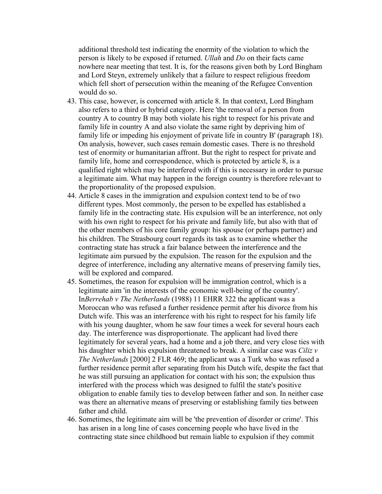additional threshold test indicating the enormity of the violation to which the person is likely to be exposed if returned. *Ullah* and *Do* on their facts came nowhere near meeting that test. It is, for the reasons given both by Lord Bingham and Lord Steyn, extremely unlikely that a failure to respect religious freedom which fell short of persecution within the meaning of the Refugee Convention would do so.

- 43. This case, however, is concerned with article 8. In that context, Lord Bingham also refers to a third or hybrid category. Here 'the removal of a person from country A to country B may both violate his right to respect for his private and family life in country A and also violate the same right by depriving him of family life or impeding his enjoyment of private life in country B' (paragraph 18). On analysis, however, such cases remain domestic cases. There is no threshold test of enormity or humanitarian affront. But the right to respect for private and family life, home and correspondence, which is protected by article 8, is a qualified right which may be interfered with if this is necessary in order to pursue a legitimate aim. What may happen in the foreign country is therefore relevant to the proportionality of the proposed expulsion.
- 44. Article 8 cases in the immigration and expulsion context tend to be of two different types. Most commonly, the person to be expelled has established a family life in the contracting state. His expulsion will be an interference, not only with his own right to respect for his private and family life, but also with that of the other members of his core family group: his spouse (or perhaps partner) and his children. The Strasbourg court regards its task as to examine whether the contracting state has struck a fair balance between the interference and the legitimate aim pursued by the expulsion. The reason for the expulsion and the degree of interference, including any alternative means of preserving family ties, will be explored and compared.
- 45. Sometimes, the reason for expulsion will be immigration control, which is a legitimate aim 'in the interests of the economic well-being of the country'. In*Berrehab v The Netherlands* (1988) 11 EHRR 322 the applicant was a Moroccan who was refused a further residence permit after his divorce from his Dutch wife. This was an interference with his right to respect for his family life with his young daughter, whom he saw four times a week for several hours each day. The interference was disproportionate. The applicant had lived there legitimately for several years, had a home and a job there, and very close ties with his daughter which his expulsion threatened to break. A similar case was *Ciliz v The Netherlands* [2000] 2 FLR 469; the applicant was a Turk who was refused a further residence permit after separating from his Dutch wife, despite the fact that he was still pursuing an application for contact with his son; the expulsion thus interfered with the process which was designed to fulfil the state's positive obligation to enable family ties to develop between father and son. In neither case was there an alternative means of preserving or establishing family ties between father and child.
- 46. Sometimes, the legitimate aim will be 'the prevention of disorder or crime'. This has arisen in a long line of cases concerning people who have lived in the contracting state since childhood but remain liable to expulsion if they commit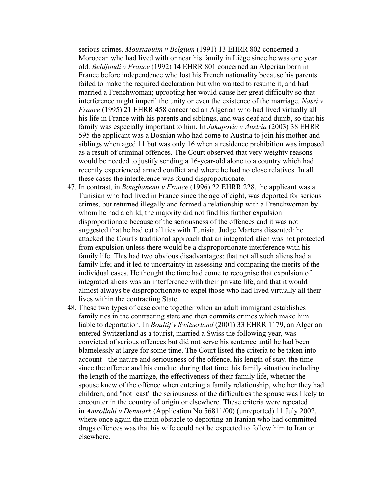serious crimes. *Moustaquim v Belgium* (1991) 13 EHRR 802 concerned a Moroccan who had lived with or near his family in Liège since he was one year old. *Beldjoudi v France* (1992) 14 EHRR 801 concerned an Algerian born in France before independence who lost his French nationality because his parents failed to make the required declaration but who wanted to resume it, and had married a Frenchwoman; uprooting her would cause her great difficulty so that interference might imperil the unity or even the existence of the marriage. *Nasri v France* (1995) 21 EHRR 458 concerned an Algerian who had lived virtually all his life in France with his parents and siblings, and was deaf and dumb, so that his family was especially important to him. In *Jakupovic v Austria* (2003) 38 EHRR 595 the applicant was a Bosnian who had come to Austria to join his mother and siblings when aged 11 but was only 16 when a residence prohibition was imposed as a result of criminal offences. The Court observed that very weighty reasons would be needed to justify sending a 16-year-old alone to a country which had recently experienced armed conflict and where he had no close relatives. In all these cases the interference was found disproportionate.

- 47. In contrast, in *Boughanemi v France* (1996) 22 EHRR 228, the applicant was a Tunisian who had lived in France since the age of eight, was deported for serious crimes, but returned illegally and formed a relationship with a Frenchwoman by whom he had a child; the majority did not find his further expulsion disproportionate because of the seriousness of the offences and it was not suggested that he had cut all ties with Tunisia. Judge Martens dissented: he attacked the Court's traditional approach that an integrated alien was not protected from expulsion unless there would be a disproportionate interference with his family life. This had two obvious disadvantages: that not all such aliens had a family life; and it led to uncertainty in assessing and comparing the merits of the individual cases. He thought the time had come to recognise that expulsion of integrated aliens was an interference with their private life, and that it would almost always be disproportionate to expel those who had lived virtually all their lives within the contracting State.
- 48. These two types of case come together when an adult immigrant establishes family ties in the contracting state and then commits crimes which make him liable to deportation. In *Boultif v Switzerland* (2001) 33 EHRR 1179, an Algerian entered Switzerland as a tourist, married a Swiss the following year, was convicted of serious offences but did not serve his sentence until he had been blamelessly at large for some time. The Court listed the criteria to be taken into account - the nature and seriousness of the offence, his length of stay, the time since the offence and his conduct during that time, his family situation including the length of the marriage, the effectiveness of their family life, whether the spouse knew of the offence when entering a family relationship, whether they had children, and "not least" the seriousness of the difficulties the spouse was likely to encounter in the country of origin or elsewhere. These criteria were repeated in *Amrollahi v Denmark* (Application No 56811/00) (unreported) 11 July 2002, where once again the main obstacle to deporting an Iranian who had committed drugs offences was that his wife could not be expected to follow him to Iran or elsewhere.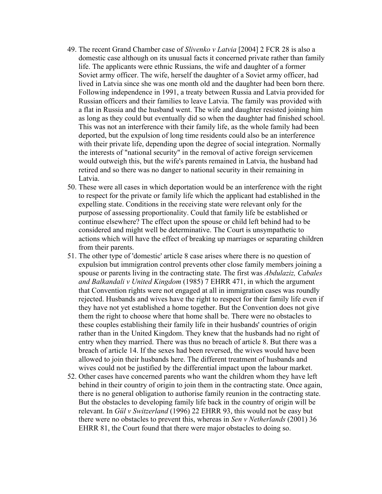- 49. The recent Grand Chamber case of *Slivenko v Latvia* [2004] 2 FCR 28 is also a domestic case although on its unusual facts it concerned private rather than family life. The applicants were ethnic Russians, the wife and daughter of a former Soviet army officer. The wife, herself the daughter of a Soviet army officer, had lived in Latvia since she was one month old and the daughter had been born there. Following independence in 1991, a treaty between Russia and Latvia provided for Russian officers and their families to leave Latvia. The family was provided with a flat in Russia and the husband went. The wife and daughter resisted joining him as long as they could but eventually did so when the daughter had finished school. This was not an interference with their family life, as the whole family had been deported, but the expulsion of long time residents could also be an interference with their private life, depending upon the degree of social integration. Normally the interests of "national security" in the removal of active foreign servicemen would outweigh this, but the wife's parents remained in Latvia, the husband had retired and so there was no danger to national security in their remaining in Latvia.
- 50. These were all cases in which deportation would be an interference with the right to respect for the private or family life which the applicant had established in the expelling state. Conditions in the receiving state were relevant only for the purpose of assessing proportionality. Could that family life be established or continue elsewhere? The effect upon the spouse or child left behind had to be considered and might well be determinative. The Court is unsympathetic to actions which will have the effect of breaking up marriages or separating children from their parents.
- 51. The other type of 'domestic' article 8 case arises where there is no question of expulsion but immigration control prevents other close family members joining a spouse or parents living in the contracting state. The first was *Abdulaziz, Cabales and Balkandali v United Kingdom* (1985) 7 EHRR 471, in which the argument that Convention rights were not engaged at all in immigration cases was roundly rejected. Husbands and wives have the right to respect for their family life even if they have not yet established a home together. But the Convention does not give them the right to choose where that home shall be. There were no obstacles to these couples establishing their family life in their husbands' countries of origin rather than in the United Kingdom. They knew that the husbands had no right of entry when they married. There was thus no breach of article 8. But there was a breach of article 14. If the sexes had been reversed, the wives would have been allowed to join their husbands here. The different treatment of husbands and wives could not be justified by the differential impact upon the labour market.
- 52. Other cases have concerned parents who want the children whom they have left behind in their country of origin to join them in the contracting state. Once again, there is no general obligation to authorise family reunion in the contracting state. But the obstacles to developing family life back in the country of origin will be relevant. In *Gül v Switzerland* (1996) 22 EHRR 93, this would not be easy but there were no obstacles to prevent this, whereas in *Sen v Netherlands* (2001) 36 EHRR 81, the Court found that there were major obstacles to doing so.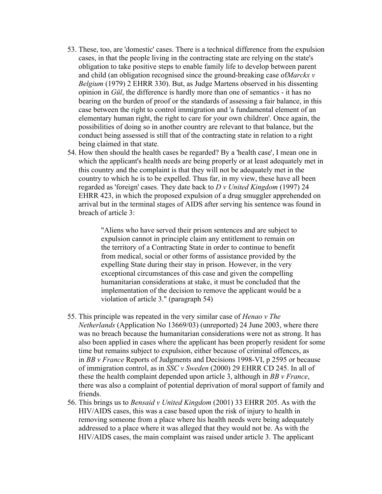- 53. These, too, are 'domestic' cases. There is a technical difference from the expulsion cases, in that the people living in the contracting state are relying on the state's obligation to take positive steps to enable family life to develop between parent and child (an obligation recognised since the ground-breaking case of*Marckx v Belgium* (1979) 2 EHRR 330). But, as Judge Martens observed in his dissenting opinion in *Gül*, the difference is hardly more than one of semantics - it has no bearing on the burden of proof or the standards of assessing a fair balance, in this case between the right to control immigration and 'a fundamental element of an elementary human right, the right to care for your own children'. Once again, the possibilities of doing so in another country are relevant to that balance, but the conduct being assessed is still that of the contracting state in relation to a right being claimed in that state.
- 54. How then should the health cases be regarded? By a 'health case', I mean one in which the applicant's health needs are being properly or at least adequately met in this country and the complaint is that they will not be adequately met in the country to which he is to be expelled. Thus far, in my view, these have all been regarded as 'foreign' cases. They date back to *D v United Kingdom* (1997) 24 EHRR 423, in which the proposed expulsion of a drug smuggler apprehended on arrival but in the terminal stages of AIDS after serving his sentence was found in breach of article 3:

"Aliens who have served their prison sentences and are subject to expulsion cannot in principle claim any entitlement to remain on the territory of a Contracting State in order to continue to benefit from medical, social or other forms of assistance provided by the expelling State during their stay in prison. However, in the very exceptional circumstances of this case and given the compelling humanitarian considerations at stake, it must be concluded that the implementation of the decision to remove the applicant would be a violation of article 3." (paragraph 54)

- 55. This principle was repeated in the very similar case of *Henao v The Netherlands* (Application No 13669/03) (unreported) 24 June 2003, where there was no breach because the humanitarian considerations were not as strong. It has also been applied in cases where the applicant has been properly resident for some time but remains subject to expulsion, either because of criminal offences, as in *BB v France* Reports of Judgments and Decisions 1998-VI, p 2595 or because of immigration control, as in *SSC v Sweden* (2000) 29 EHRR CD 245. In all of these the health complaint depended upon article 3, although in *BB v France*, there was also a complaint of potential deprivation of moral support of family and friends.
- 56. This brings us to *Bensaid v United Kingdom* (2001) 33 EHRR 205. As with the HIV/AIDS cases, this was a case based upon the risk of injury to health in removing someone from a place where his health needs were being adequately addressed to a place where it was alleged that they would not be. As with the HIV/AIDS cases, the main complaint was raised under article 3. The applicant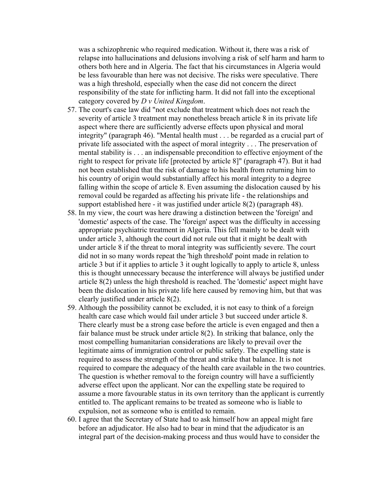was a schizophrenic who required medication. Without it, there was a risk of relapse into hallucinations and delusions involving a risk of self harm and harm to others both here and in Algeria. The fact that his circumstances in Algeria would be less favourable than here was not decisive. The risks were speculative. There was a high threshold, especially when the case did not concern the direct responsibility of the state for inflicting harm. It did not fall into the exceptional category covered by *D v United Kingdom*.

- 57. The court's case law did "not exclude that treatment which does not reach the severity of article 3 treatment may nonetheless breach article 8 in its private life aspect where there are sufficiently adverse effects upon physical and moral integrity" (paragraph 46). "Mental health must . . . be regarded as a crucial part of private life associated with the aspect of moral integrity . . . The preservation of mental stability is . . . an indispensable precondition to effective enjoyment of the right to respect for private life [protected by article 8]" (paragraph 47). But it had not been established that the risk of damage to his health from returning him to his country of origin would substantially affect his moral integrity to a degree falling within the scope of article 8. Even assuming the dislocation caused by his removal could be regarded as affecting his private life - the relationships and support established here - it was justified under article 8(2) (paragraph 48).
- 58. In my view, the court was here drawing a distinction between the 'foreign' and 'domestic' aspects of the case. The 'foreign' aspect was the difficulty in accessing appropriate psychiatric treatment in Algeria. This fell mainly to be dealt with under article 3, although the court did not rule out that it might be dealt with under article 8 if the threat to moral integrity was sufficiently severe. The court did not in so many words repeat the 'high threshold' point made in relation to article 3 but if it applies to article 3 it ought logically to apply to article 8, unless this is thought unnecessary because the interference will always be justified under article 8(2) unless the high threshold is reached. The 'domestic' aspect might have been the dislocation in his private life here caused by removing him, but that was clearly justified under article 8(2).
- 59. Although the possibility cannot be excluded, it is not easy to think of a foreign health care case which would fail under article 3 but succeed under article 8. There clearly must be a strong case before the article is even engaged and then a fair balance must be struck under article 8(2). In striking that balance, only the most compelling humanitarian considerations are likely to prevail over the legitimate aims of immigration control or public safety. The expelling state is required to assess the strength of the threat and strike that balance. It is not required to compare the adequacy of the health care available in the two countries. The question is whether removal to the foreign country will have a sufficiently adverse effect upon the applicant. Nor can the expelling state be required to assume a more favourable status in its own territory than the applicant is currently entitled to. The applicant remains to be treated as someone who is liable to expulsion, not as someone who is entitled to remain.
- 60. I agree that the Secretary of State had to ask himself how an appeal might fare before an adjudicator. He also had to bear in mind that the adjudicator is an integral part of the decision-making process and thus would have to consider the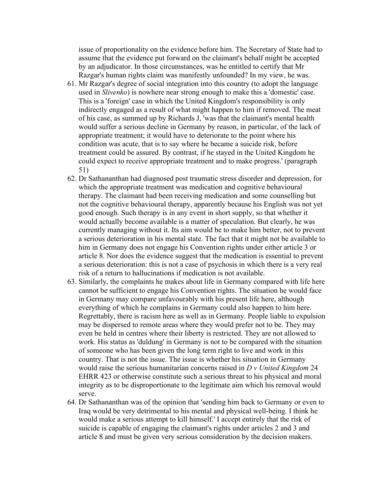issue of proportionality on the evidence before him. The Secretary of State had to assume that the evidence put forward on the claimant's behalf might be accepted by an adjudicator. In those circumstances, was he entitled to certify that Mr Razgar's human rights claim was manifestly unfounded? In my view, he was.

- 61. Mr Razgar's degree of social integration into this country (to adopt the language used in *Slivenko*) is nowhere near strong enough to make this a 'domestic' case. This is a 'foreign' case in which the United Kingdom's responsibility is only indirectly engaged as a result of what might happen to him if removed. The meat of his case, as summed up by Richards J, 'was that the claimant's mental health would suffer a serious decline in Germany by reason, in particular, of the lack of appropriate treatment; it would have to deteriorate to the point where his condition was acute, that is to say where he became a suicide risk, before treatment could be assured. By contrast, if he stayed in the United Kingdom he could expect to receive appropriate treatment and to make progress.' (paragraph 51)
- 62. Dr Sathananthan had diagnosed post traumatic stress disorder and depression, for which the appropriate treatment was medication and cognitive behavioural therapy. The claimant had been receiving medication and some counselling but not the cognitive behavioural therapy, apparently because his English was not yet good enough. Such therapy is in any event in short supply, so that whether it would actually become available is a matter of speculation. But clearly, he was currently managing without it. Its aim would be to make him better, not to prevent a serious deterioration in his mental state. The fact that it might not be available to him in Germany does not engage his Convention rights under either article 3 or article 8. Nor does the evidence suggest that the medication is essential to prevent a serious deterioration: this is not a case of psychosis in which there is a very real risk of a return to hallucinations if medication is not available.
- 63. Similarly, the complaints he makes about life in Germany compared with life here cannot be sufficient to engage his Convention rights. The situation he would face in Germany may compare unfavourably with his present life here, although everything of which he complains in Germany could also happen to him here. Regrettably, there is racism here as well as in Germany. People liable to expulsion may be dispersed to remote areas where they would prefer not to be. They may even be held in centres where their liberty is restricted. They are not allowed to work. His status as 'duldung' in Germany is not to be compared with the situation of someone who has been given the long term right to live and work in this country. That is not the issue. The issue is whether his situation in Germany would raise the serious humanitarian concerns raised in *D v United Kingdom* 24 EHRR 423 or otherwise constitute such a serious threat to his physical and moral integrity as to be disproportionate to the legitimate aim which his removal would serve.
- 64. Dr Sathananthan was of the opinion that 'sending him back to Germany or even to Iraq would be very detrimental to his mental and physical well-being. I think he would make a serious attempt to kill himself.' I accept entirely that the risk of suicide is capable of engaging the claimant's rights under articles 2 and 3 and article 8 and must be given very serious consideration by the decision makers.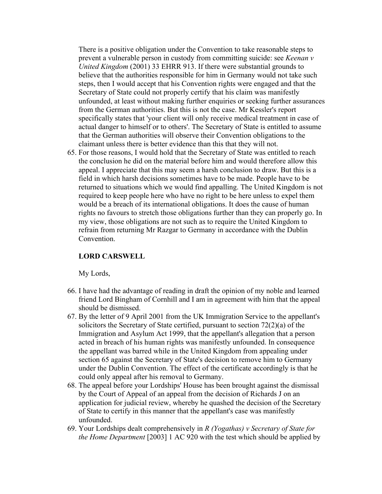There is a positive obligation under the Convention to take reasonable steps to prevent a vulnerable person in custody from committing suicide: see *Keenan v United Kingdom* (2001) 33 EHRR 913. If there were substantial grounds to believe that the authorities responsible for him in Germany would not take such steps, then I would accept that his Convention rights were engaged and that the Secretary of State could not properly certify that his claim was manifestly unfounded, at least without making further enquiries or seeking further assurances from the German authorities. But this is not the case. Mr Kessler's report specifically states that 'your client will only receive medical treatment in case of actual danger to himself or to others'. The Secretary of State is entitled to assume that the German authorities will observe their Convention obligations to the claimant unless there is better evidence than this that they will not.

65. For those reasons, I would hold that the Secretary of State was entitled to reach the conclusion he did on the material before him and would therefore allow this appeal. I appreciate that this may seem a harsh conclusion to draw. But this is a field in which harsh decisions sometimes have to be made. People have to be returned to situations which we would find appalling. The United Kingdom is not required to keep people here who have no right to be here unless to expel them would be a breach of its international obligations. It does the cause of human rights no favours to stretch those obligations further than they can properly go. In my view, those obligations are not such as to require the United Kingdom to refrain from returning Mr Razgar to Germany in accordance with the Dublin Convention.

# **LORD CARSWELL**

My Lords,

- 66. I have had the advantage of reading in draft the opinion of my noble and learned friend Lord Bingham of Cornhill and I am in agreement with him that the appeal should be dismissed.
- 67. By the letter of 9 April 2001 from the UK Immigration Service to the appellant's solicitors the Secretary of State certified, pursuant to section 72(2)(a) of the Immigration and Asylum Act 1999, that the appellant's allegation that a person acted in breach of his human rights was manifestly unfounded. In consequence the appellant was barred while in the United Kingdom from appealing under section 65 against the Secretary of State's decision to remove him to Germany under the Dublin Convention. The effect of the certificate accordingly is that he could only appeal after his removal to Germany.
- 68. The appeal before your Lordships' House has been brought against the dismissal by the Court of Appeal of an appeal from the decision of Richards J on an application for judicial review, whereby he quashed the decision of the Secretary of State to certify in this manner that the appellant's case was manifestly unfounded.
- 69. Your Lordships dealt comprehensively in *R (Yogathas) v Secretary of State for the Home Department* [2003] 1 AC 920 with the test which should be applied by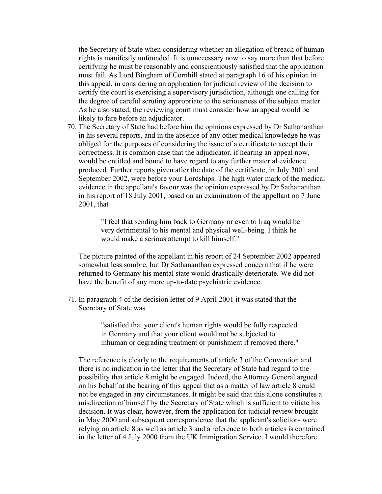the Secretary of State when considering whether an allegation of breach of human rights is manifestly unfounded. It is unnecessary now to say more than that before certifying he must be reasonably and conscientiously satisfied that the application must fail. As Lord Bingham of Cornhill stated at paragraph 16 of his opinion in this appeal, in considering an application for judicial review of the decision to certify the court is exercising a supervisory jurisdiction, although one calling for the degree of careful scrutiny appropriate to the seriousness of the subject matter. As he also stated, the reviewing court must consider how an appeal would be likely to fare before an adjudicator.

70. The Secretary of State had before him the opinions expressed by Dr Sathananthan in his several reports, and in the absence of any other medical knowledge he was obliged for the purposes of considering the issue of a certificate to accept their correctness. It is common case that the adjudicator, if hearing an appeal now, would be entitled and bound to have regard to any further material evidence produced. Further reports given after the date of the certificate, in July 2001 and September 2002, were before your Lordships. The high water mark of the medical evidence in the appellant's favour was the opinion expressed by Dr Sathananthan in his report of 18 July 2001, based on an examination of the appellant on 7 June 2001, that

> "I feel that sending him back to Germany or even to Iraq would be very detrimental to his mental and physical well-being. I think he would make a serious attempt to kill himself."

The picture painted of the appellant in his report of 24 September 2002 appeared somewhat less sombre, but Dr Sathananthan expressed concern that if he were returned to Germany his mental state would drastically deteriorate. We did not have the benefit of any more up-to-date psychiatric evidence.

71. In paragraph 4 of the decision letter of 9 April 2001 it was stated that the Secretary of State was

> "satisfied that your client's human rights would be fully respected in Germany and that your client would not be subjected to inhuman or degrading treatment or punishment if removed there."

The reference is clearly to the requirements of article 3 of the Convention and there is no indication in the letter that the Secretary of State had regard to the possibility that article 8 might be engaged. Indeed, the Attorney General argued on his behalf at the hearing of this appeal that as a matter of law article 8 could not be engaged in any circumstances. It might be said that this alone constitutes a misdirection of himself by the Secretary of State which is sufficient to vitiate his decision. It was clear, however, from the application for judicial review brought in May 2000 and subsequent correspondence that the applicant's solicitors were relying on article 8 as well as article 3 and a reference to both articles is contained in the letter of 4 July 2000 from the UK Immigration Service. I would therefore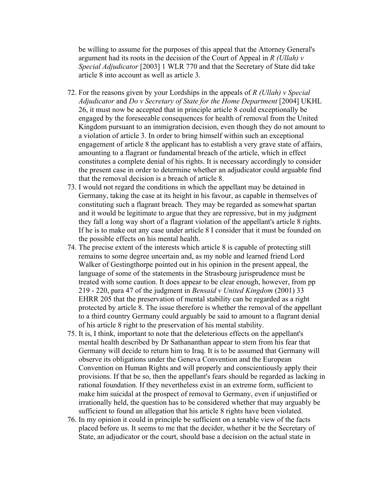be willing to assume for the purposes of this appeal that the Attorney General's argument had its roots in the decision of the Court of Appeal in *R (Ullah) v Special Adjudicator* [2003] 1 WLR 770 and that the Secretary of State did take article 8 into account as well as article 3.

- 72. For the reasons given by your Lordships in the appeals of *R (Ullah) v Special Adjudicator* and *Do v Secretary of State for the Home Department* [2004] UKHL 26, it must now be accepted that in principle article 8 could exceptionally be engaged by the foreseeable consequences for health of removal from the United Kingdom pursuant to an immigration decision, even though they do not amount to a violation of article 3. In order to bring himself within such an exceptional engagement of article 8 the applicant has to establish a very grave state of affairs, amounting to a flagrant or fundamental breach of the article, which in effect constitutes a complete denial of his rights. It is necessary accordingly to consider the present case in order to determine whether an adjudicator could arguable find that the removal decision is a breach of article 8.
- 73. I would not regard the conditions in which the appellant may be detained in Germany, taking the case at its height in his favour, as capable in themselves of constituting such a flagrant breach. They may be regarded as somewhat spartan and it would be legitimate to argue that they are repressive, but in my judgment they fall a long way short of a flagrant violation of the appellant's article 8 rights. If he is to make out any case under article 8 I consider that it must be founded on the possible effects on his mental health.
- 74. The precise extent of the interests which article 8 is capable of protecting still remains to some degree uncertain and, as my noble and learned friend Lord Walker of Gestingthorpe pointed out in his opinion in the present appeal, the language of some of the statements in the Strasbourg jurisprudence must be treated with some caution. It does appear to be clear enough, however, from pp 219 - 220, para 47 of the judgment in *Bensaid v United Kingdom* (2001) 33 EHRR 205 that the preservation of mental stability can be regarded as a right protected by article 8. The issue therefore is whether the removal of the appellant to a third country Germany could arguably be said to amount to a flagrant denial of his article 8 right to the preservation of his mental stability.
- 75. It is, I think, important to note that the deleterious effects on the appellant's mental health described by Dr Sathananthan appear to stem from his fear that Germany will decide to return him to Iraq. It is to be assumed that Germany will observe its obligations under the Geneva Convention and the European Convention on Human Rights and will properly and conscientiously apply their provisions. If that be so, then the appellant's fears should be regarded as lacking in rational foundation. If they nevertheless exist in an extreme form, sufficient to make him suicidal at the prospect of removal to Germany, even if unjustified or irrationally held, the question has to be considered whether that may arguably be sufficient to found an allegation that his article 8 rights have been violated.
- 76. In my opinion it could in principle be sufficient on a tenable view of the facts placed before us. It seems to me that the decider, whether it be the Secretary of State, an adjudicator or the court, should base a decision on the actual state in